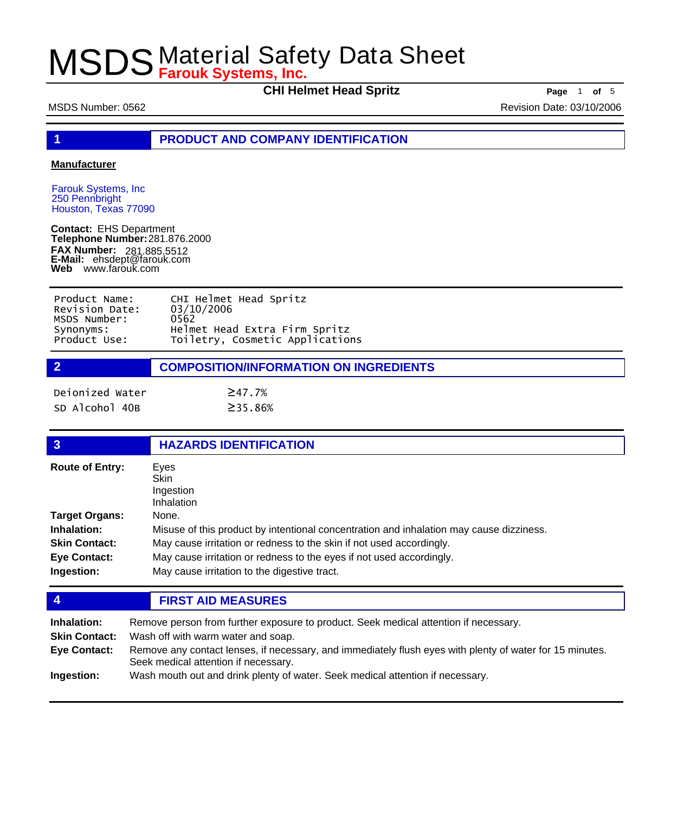**CHI Helmet Head Spritz** Page 1 of 5

MSDS Number: 0562 Revision Date: 03/10/2006

**1 PRODUCT AND COMPANY IDENTIFICATION**

### **Manufacturer**

Farouk Systems, Inc 250 Pennbright Houston, Texas 77090

**Contact:** EHS Department **Telephone Number:** 281.876.2000 **FAX Number: FAX Number:** 281.885.5512<br>**E-Mail:** ehsdept@farouk.com **Web** www.farouk.com

| Product Name:  | CHI Helmet Head Spritz          |
|----------------|---------------------------------|
| Revision Date: | 03/10/2006                      |
| MSDS Number:   | 0562                            |
| Synonyms:      | Helmet Head Extra Firm Spritz   |
| Product Use:   | Toiletry, Cosmetic Applications |

| $\overline{2}$  | <b>COMPOSITION/INFORMATION ON INGREDIENTS</b> |  |  |
|-----------------|-----------------------------------------------|--|--|
| Dejonized Water | $\geq$ 47.7%                                  |  |  |

SD Alcohol 40B ≥35.86%

| $\overline{3}$         | <b>HAZARDS IDENTIFICATION</b>                                                           |
|------------------------|-----------------------------------------------------------------------------------------|
| <b>Route of Entry:</b> | Eyes<br><b>Skin</b><br>Ingestion<br>Inhalation                                          |
| <b>Target Organs:</b>  | None.                                                                                   |
| Inhalation:            | Misuse of this product by intentional concentration and inhalation may cause dizziness. |
| <b>Skin Contact:</b>   | May cause irritation or redness to the skin if not used accordingly.                    |
| <b>Eye Contact:</b>    | May cause irritation or redness to the eyes if not used accordingly.                    |
| Ingestion:             | May cause irritation to the digestive tract.                                            |

## **4 FIRST AID MEASURES**

| Inhalation:          | Remove person from further exposure to product. Seek medical attention if necessary.                                                             |
|----------------------|--------------------------------------------------------------------------------------------------------------------------------------------------|
| <b>Skin Contact:</b> | Wash off with warm water and soap.                                                                                                               |
| Eye Contact:         | Remove any contact lenses, if necessary, and immediately flush eyes with plenty of water for 15 minutes.<br>Seek medical attention if necessary. |
| Ingestion:           | Wash mouth out and drink plenty of water. Seek medical attention if necessary.                                                                   |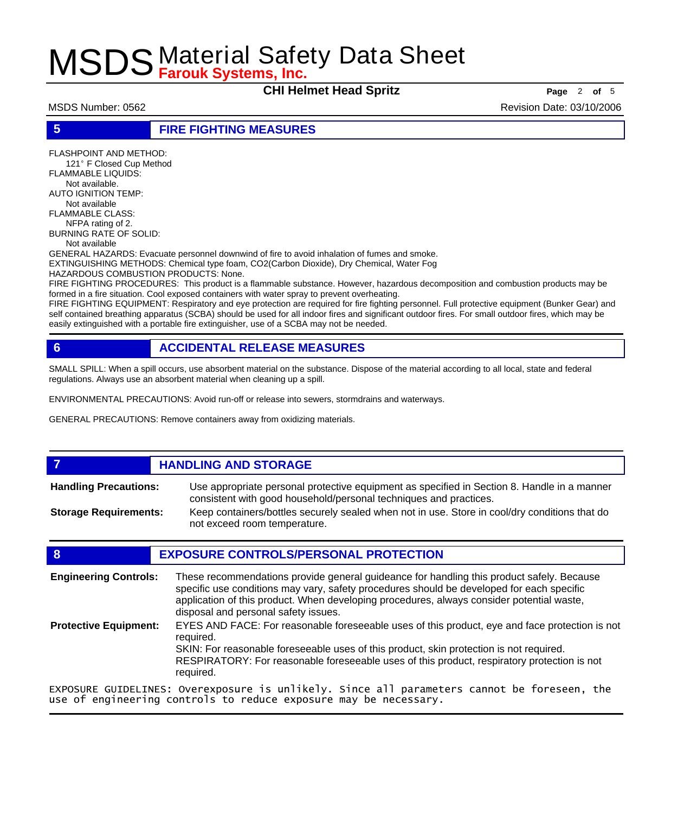**CHI Helmet Head Spritz Page** <sup>2</sup> **of** <sup>5</sup>

MSDS Number: 0562 Revision Date: 03/10/2006

## **5 FIRE FIGHTING MEASURES**

FLASHPOINT AND METHOD: 121º F Closed Cup Method FLAMMABLE LIQUIDS: Not available. AUTO IGNITION TEMP: Not available FLAMMABLE CLASS: NFPA rating of 2. BURNING RATE OF SOLID: Not available GENERAL HAZARDS: Evacuate personnel downwind of fire to avoid inhalation of fumes and smoke. EXTINGUISHING METHODS: Chemical type foam, CO2(Carbon Dioxide), Dry Chemical, Water Fog HAZARDOUS COMBUSTION PRODUCTS: None.

FIRE FIGHTING PROCEDURES: This product is a flammable substance. However, hazardous decomposition and combustion products may be formed in a fire situation. Cool exposed containers with water spray to prevent overheating.

FIRE FIGHTING EQUIPMENT: Respiratory and eye protection are required for fire fighting personnel. Full protective equipment (Bunker Gear) and self contained breathing apparatus (SCBA) should be used for all indoor fires and significant outdoor fires. For small outdoor fires, which may be easily extinguished with a portable fire extinguisher, use of a SCBA may not be needed.

## **6 ACCIDENTAL RELEASE MEASURES**

SMALL SPILL: When a spill occurs, use absorbent material on the substance. Dispose of the material according to all local, state and federal regulations. Always use an absorbent material when cleaning up a spill.

ENVIRONMENTAL PRECAUTIONS: Avoid run-off or release into sewers, stormdrains and waterways.

GENERAL PRECAUTIONS: Remove containers away from oxidizing materials.

### **7 HANDLING AND STORAGE** Use appropriate personal protective equipment as specified in Section 8. Handle in a manner consistent with good household/personal techniques and practices. **Handling Precautions:** Keep containers/bottles securely sealed when not in use. Store in cool/dry conditions that do not exceed room temperature. **Storage Requirements:**

## **8 EXPOSURE CONTROLS/PERSONAL PROTECTION**

These recommendations provide general guideance for handling this product safely. Because specific use conditions may vary, safety procedures should be developed for each specific application of this product. When developing procedures, always consider potential waste, disposal and personal safety issues. **Engineering Controls:** EYES AND FACE: For reasonable foreseeable uses of this product, eye and face protection is not required. SKIN: For reasonable foreseeable uses of this product, skin protection is not required. RESPIRATORY: For reasonable foreseeable uses of this product, respiratory protection is not required. **Protective Equipment:** EXPOSURE GUIDELINES: Overexposure is unlikely. Since all parameters cannot be foreseen, the use of engineering controls to reduce exposure may be necessary.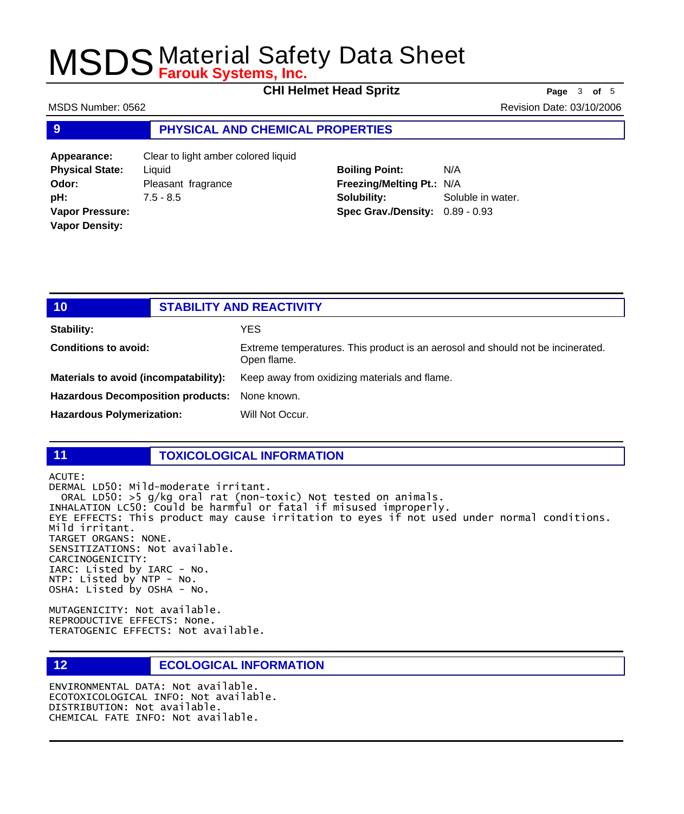**CHI Helmet Head Spritz Page** <sup>3</sup> **of** <sup>5</sup>

MSDS Number: 0562 Revision Date: 03/10/2006

## **9 PHYSICAL AND CHEMICAL PROPERTIES**

**Appearance:** Clear to light amber colored liquid **Physical State:** Liquid **Odor:** Pleasant fragrance **pH:** 7.5 - 8.5 **Vapor Pressure: Vapor Density:**

**Boiling Point:** N/A **Freezing/Melting Pt.:** N/A **Solubility:** Soluble in water. **Spec Grav./Density:** 0.89 - 0.93

| 10                                       | <b>STABILITY AND REACTIVITY</b>                                                                |
|------------------------------------------|------------------------------------------------------------------------------------------------|
| <b>Stability:</b>                        | YES                                                                                            |
| <b>Conditions to avoid:</b>              | Extreme temperatures. This product is an aerosol and should not be incinerated.<br>Open flame. |
| Materials to avoid (incompatability):    | Keep away from oxidizing materials and flame.                                                  |
| <b>Hazardous Decomposition products:</b> | None known.                                                                                    |
| <b>Hazardous Polymerization:</b>         | Will Not Occur.                                                                                |

## **11 TOXICOLOGICAL INFORMATION**

ACUTE: DERMAL LD50: Mild-moderate irritant. ORAL LD50: >5 g/kg oral rat (non-toxic) Not tested on animals. INHALATION LC50: Could be harmful or fatal if misused improperly. EYE EFFECTS: This product may cause irritation to eyes if not used under normal conditions. Mild irritant. TARGET ORGANS: NONE. SENSITIZATIONS: Not available. CARCINOGENICITY: IARC: Listed by IARC - No. NTP: Listed by NTP - No. OSHA: Listed by OSHA - No.

MUTAGENICITY: Not available. REPRODUCTIVE EFFECTS: None. TERATOGENIC EFFECTS: Not available.

## **12 ECOLOGICAL INFORMATION**

ENVIRONMENTAL DATA: Not available. ECOTOXICOLOGICAL INFO: Not available. DISTRIBUTION: Not available. CHEMICAL FATE INFO: Not available.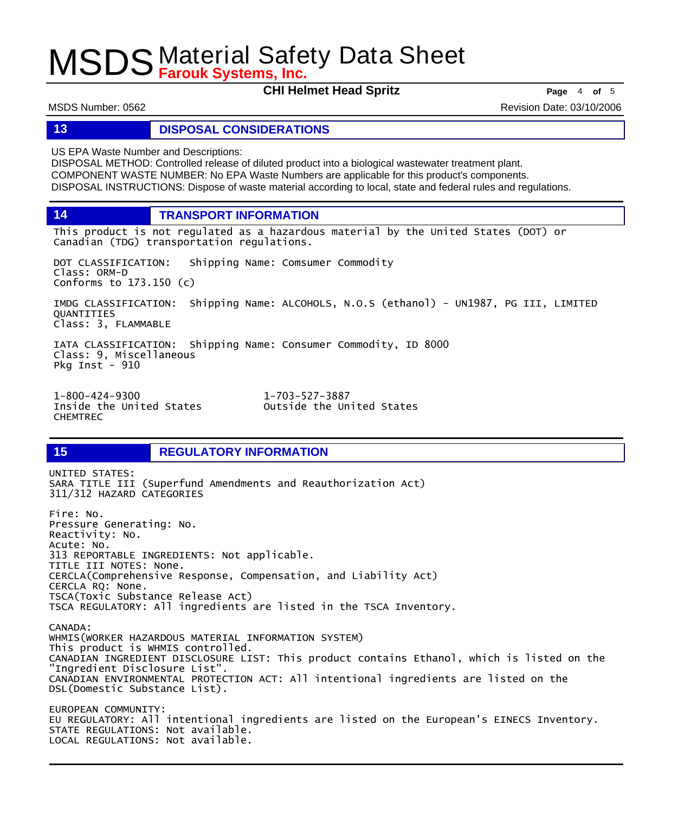**CHI Helmet Head Spritz Page** <sup>4</sup> **of** <sup>5</sup>

MSDS Number: 0562 Revision Date: 03/10/2006

### **13 DISPOSAL CONSIDERATIONS**

US EPA Waste Number and Descriptions:

DISPOSAL METHOD: Controlled release of diluted product into a biological wastewater treatment plant. COMPONENT WASTE NUMBER: No EPA Waste Numbers are applicable for this product's components. DISPOSAL INSTRUCTIONS: Dispose of waste material according to local, state and federal rules and regulations.

**14 TRANSPORT INFORMATION**

This product is not regulated as a hazardous material by the United States (DOT) or Canadian (TDG) transportation regulations.

DOT CLASSIFICATION: Shipping Name: Comsumer Commodity Class: ORM-D Conforms to 173.150 (c)

IMDG CLASSIFICATION: Shipping Name: ALCOHOLS, N.O.S (ethanol) - UN1987, PG III, LIMITED QUANTITIES Class: 3, FLAMMABLE

IATA CLASSIFICATION: Shipping Name: Consumer Commodity, ID 8000 Class: 9, Miscellaneous Pkg Inst -  $910$ 

1-800-424-9300 1-703-527-3887 CHEMTREC

Outside the United States

## **15 REGULATORY INFORMATION**

UNITED STATES: SARA TITLE III (Superfund Amendments and Reauthorization Act) 311/312 HAZARD CATEGORIES Fire: No. Pressure Generating: No. Reactivity: No. Acute: No. 313 REPORTABLE INGREDIENTS: Not applicable. TITLE III NOTES: None. CERCLA(Comprehensive Response, Compensation, and Liability Act) CERCLA RQ: None. TSCA(Toxic Substance Release Act) TSCA REGULATORY: All ingredients are listed in the TSCA Inventory. CANADA: WHMIS(WORKER HAZARDOUS MATERIAL INFORMATION SYSTEM) This product is WHMIS controlled. CANADIAN INGREDIENT DISCLOSURE LIST: This product contains Ethanol, which is listed on the "Ingredient Disclosure List". CANADIAN ENVIRONMENTAL PROTECTION ACT: All intentional ingredients are listed on the DSL(Domestic Substance List). EUROPEAN COMMUNITY: EU REGULATORY: All intentional ingredients are listed on the European's EINECS Inventory. STATE REGULATIONS: Not available. LOCAL REGULATIONS: Not available.